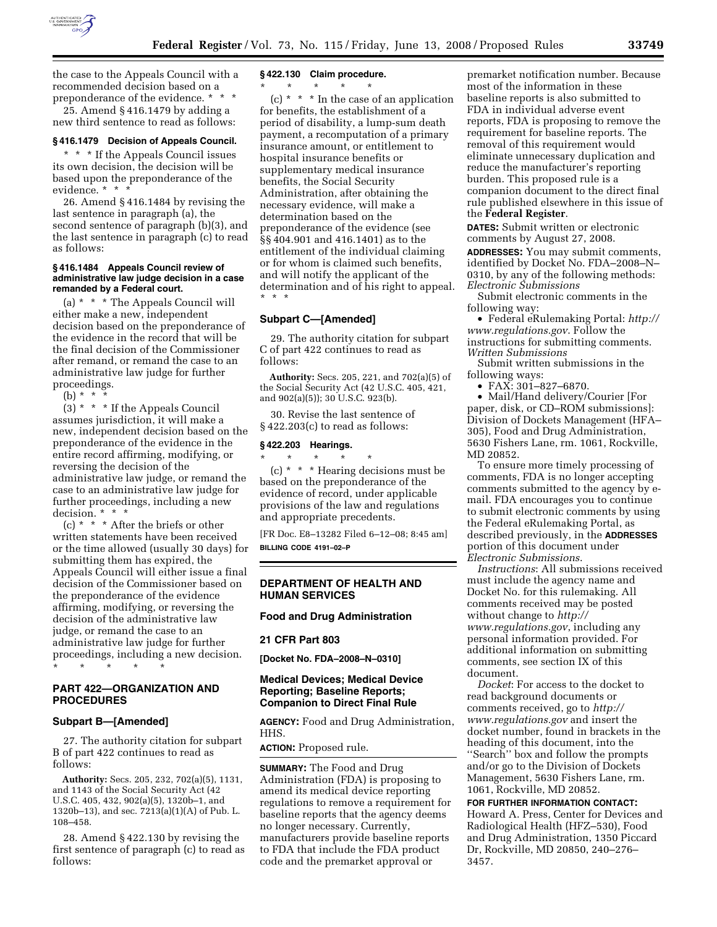

the case to the Appeals Council with a recommended decision based on a preponderance of the evidence. \* \* \*

25. Amend § 416.1479 by adding a new third sentence to read as follows:

# **§ 416.1479 Decision of Appeals Council.**

\* \* \* If the Appeals Council issues its own decision, the decision will be based upon the preponderance of the evidence. \* \* \*

26. Amend § 416.1484 by revising the last sentence in paragraph (a), the second sentence of paragraph (b)(3), and the last sentence in paragraph (c) to read as follows:

### **§ 416.1484 Appeals Council review of administrative law judge decision in a case remanded by a Federal court.**

(a) \* \* \* The Appeals Council will either make a new, independent decision based on the preponderance of the evidence in the record that will be the final decision of the Commissioner after remand, or remand the case to an administrative law judge for further proceedings.

 $(h) * *$ 

(3) \* \* \* If the Appeals Council assumes jurisdiction, it will make a new, independent decision based on the preponderance of the evidence in the entire record affirming, modifying, or reversing the decision of the administrative law judge, or remand the case to an administrative law judge for further proceedings, including a new decision. \* \* \*

(c) \* \* \* After the briefs or other written statements have been received or the time allowed (usually 30 days) for submitting them has expired, the Appeals Council will either issue a final decision of the Commissioner based on the preponderance of the evidence affirming, modifying, or reversing the decision of the administrative law judge, or remand the case to an administrative law judge for further proceedings, including a new decision. \* \* \* \* \*

# **PART 422—ORGANIZATION AND PROCEDURES**

## **Subpart B—[Amended]**

27. The authority citation for subpart B of part 422 continues to read as follows:

**Authority:** Secs. 205, 232, 702(a)(5), 1131, and 1143 of the Social Security Act (42 U.S.C. 405, 432, 902(a)(5), 1320b–1, and 1320b–13), and sec. 7213(a)(1)(A) of Pub. L. 108–458.

28. Amend § 422.130 by revising the first sentence of paragraph (c) to read as follows:

#### **§ 422.130 Claim procedure.**

 $\star$   $\star$   $\star$ 

 $(c)$  \* \* \* In the case of an application for benefits, the establishment of a period of disability, a lump-sum death payment, a recomputation of a primary insurance amount, or entitlement to hospital insurance benefits or supplementary medical insurance benefits, the Social Security Administration, after obtaining the necessary evidence, will make a determination based on the preponderance of the evidence (see §§ 404.901 and 416.1401) as to the entitlement of the individual claiming or for whom is claimed such benefits, and will notify the applicant of the determination and of his right to appeal. \* \* \*

#### **Subpart C—[Amended]**

29. The authority citation for subpart C of part 422 continues to read as follows:

**Authority:** Secs. 205, 221, and 702(a)(5) of the Social Security Act (42 U.S.C. 405, 421, and 902(a)(5)); 30 U.S.C. 923(b).

30. Revise the last sentence of § 422.203(c) to read as follows:

#### **§ 422.203 Hearings.**

\* \* \* \* \* (c) \* \* \* Hearing decisions must be based on the preponderance of the evidence of record, under applicable provisions of the law and regulations and appropriate precedents.

[FR Doc. E8–13282 Filed 6–12–08; 8:45 am] **BILLING CODE 4191–02–P** 

## **DEPARTMENT OF HEALTH AND HUMAN SERVICES**

### **Food and Drug Administration**

#### **21 CFR Part 803**

**[Docket No. FDA–2008–N–0310]** 

## **Medical Devices; Medical Device Reporting; Baseline Reports; Companion to Direct Final Rule**

**AGENCY:** Food and Drug Administration, HHS.

#### **ACTION:** Proposed rule.

**SUMMARY:** The Food and Drug Administration (FDA) is proposing to amend its medical device reporting regulations to remove a requirement for baseline reports that the agency deems no longer necessary. Currently, manufacturers provide baseline reports to FDA that include the FDA product code and the premarket approval or

premarket notification number. Because most of the information in these baseline reports is also submitted to FDA in individual adverse event reports, FDA is proposing to remove the requirement for baseline reports. The removal of this requirement would eliminate unnecessary duplication and reduce the manufacturer's reporting burden. This proposed rule is a companion document to the direct final rule published elsewhere in this issue of the **Federal Register**.

**DATES:** Submit written or electronic comments by August 27, 2008.

**ADDRESSES:** You may submit comments, identified by Docket No. FDA–2008–N– 0310, by any of the following methods: *Electronic Submissions* 

Submit electronic comments in the following way:

• Federal eRulemaking Portal: *http:// www.regulations.gov*. Follow the instructions for submitting comments. *Written Submissions* 

Submit written submissions in the following ways:

• FAX: 301-827-6870.

• Mail/Hand delivery/Courier [For paper, disk, or CD–ROM submissions]: Division of Dockets Management (HFA– 305), Food and Drug Administration, 5630 Fishers Lane, rm. 1061, Rockville, MD 20852.

To ensure more timely processing of comments, FDA is no longer accepting comments submitted to the agency by email. FDA encourages you to continue to submit electronic comments by using the Federal eRulemaking Portal, as described previously, in the **ADDRESSES** portion of this document under *Electronic Submissions*.

*Instructions*: All submissions received must include the agency name and Docket No. for this rulemaking. All comments received may be posted without change to *http:// www.regulations.gov*, including any personal information provided. For additional information on submitting comments, see section IX of this document.

*Docket*: For access to the docket to read background documents or comments received, go to *http:// www.regulations.gov* and insert the docket number, found in brackets in the heading of this document, into the ''Search'' box and follow the prompts and/or go to the Division of Dockets Management, 5630 Fishers Lane, rm. 1061, Rockville, MD 20852.

**FOR FURTHER INFORMATION CONTACT:**  Howard A. Press, Center for Devices and Radiological Health (HFZ–530), Food and Drug Administration, 1350 Piccard Dr, Rockville, MD 20850, 240–276– 3457.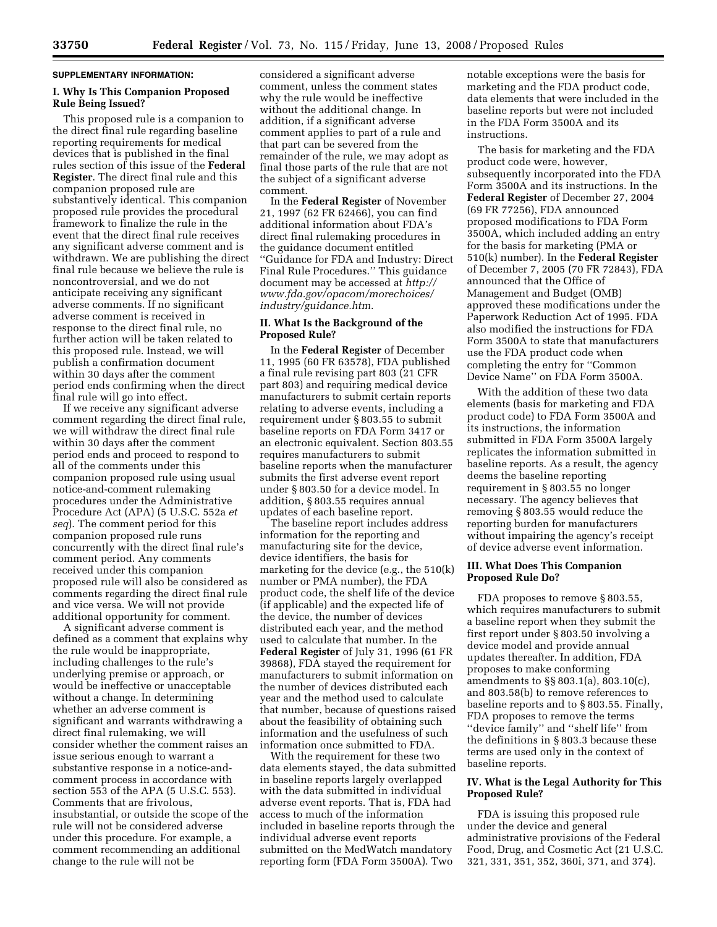### **SUPPLEMENTARY INFORMATION:**

# **I. Why Is This Companion Proposed Rule Being Issued?**

This proposed rule is a companion to the direct final rule regarding baseline reporting requirements for medical devices that is published in the final rules section of this issue of the **Federal Register**. The direct final rule and this companion proposed rule are substantively identical. This companion proposed rule provides the procedural framework to finalize the rule in the event that the direct final rule receives any significant adverse comment and is withdrawn. We are publishing the direct final rule because we believe the rule is noncontroversial, and we do not anticipate receiving any significant adverse comments. If no significant adverse comment is received in response to the direct final rule, no further action will be taken related to this proposed rule. Instead, we will publish a confirmation document within 30 days after the comment period ends confirming when the direct final rule will go into effect.

If we receive any significant adverse comment regarding the direct final rule, we will withdraw the direct final rule within 30 days after the comment period ends and proceed to respond to all of the comments under this companion proposed rule using usual notice-and-comment rulemaking procedures under the Administrative Procedure Act (APA) (5 U.S.C. 552a *et seq*). The comment period for this companion proposed rule runs concurrently with the direct final rule's comment period. Any comments received under this companion proposed rule will also be considered as comments regarding the direct final rule and vice versa. We will not provide additional opportunity for comment.

A significant adverse comment is defined as a comment that explains why the rule would be inappropriate, including challenges to the rule's underlying premise or approach, or would be ineffective or unacceptable without a change. In determining whether an adverse comment is significant and warrants withdrawing a direct final rulemaking, we will consider whether the comment raises an issue serious enough to warrant a substantive response in a notice-andcomment process in accordance with section 553 of the APA (5 U.S.C. 553). Comments that are frivolous, insubstantial, or outside the scope of the rule will not be considered adverse under this procedure. For example, a comment recommending an additional change to the rule will not be

considered a significant adverse comment, unless the comment states why the rule would be ineffective without the additional change. In addition, if a significant adverse comment applies to part of a rule and that part can be severed from the remainder of the rule, we may adopt as final those parts of the rule that are not the subject of a significant adverse comment.

In the **Federal Register** of November 21, 1997 (62 FR 62466), you can find additional information about FDA's direct final rulemaking procedures in the guidance document entitled ''Guidance for FDA and Industry: Direct Final Rule Procedures.'' This guidance document may be accessed at *http:// www.fda.gov/opacom/morechoices/ industry/guidance.htm*.

## **II. What Is the Background of the Proposed Rule?**

In the **Federal Register** of December 11, 1995 (60 FR 63578), FDA published a final rule revising part 803 (21 CFR part 803) and requiring medical device manufacturers to submit certain reports relating to adverse events, including a requirement under § 803.55 to submit baseline reports on FDA Form 3417 or an electronic equivalent. Section 803.55 requires manufacturers to submit baseline reports when the manufacturer submits the first adverse event report under § 803.50 for a device model. In addition, § 803.55 requires annual updates of each baseline report.

The baseline report includes address information for the reporting and manufacturing site for the device, device identifiers, the basis for marketing for the device (e.g., the 510(k) number or PMA number), the FDA product code, the shelf life of the device (if applicable) and the expected life of the device, the number of devices distributed each year, and the method used to calculate that number. In the **Federal Register** of July 31, 1996 (61 FR 39868), FDA stayed the requirement for manufacturers to submit information on the number of devices distributed each year and the method used to calculate that number, because of questions raised about the feasibility of obtaining such information and the usefulness of such information once submitted to FDA.

With the requirement for these two data elements stayed, the data submitted in baseline reports largely overlapped with the data submitted in individual adverse event reports. That is, FDA had access to much of the information included in baseline reports through the individual adverse event reports submitted on the MedWatch mandatory reporting form (FDA Form 3500A). Two

notable exceptions were the basis for marketing and the FDA product code, data elements that were included in the baseline reports but were not included in the FDA Form 3500A and its instructions.

The basis for marketing and the FDA product code were, however, subsequently incorporated into the FDA Form 3500A and its instructions. In the **Federal Register** of December 27, 2004 (69 FR 77256), FDA announced proposed modifications to FDA Form 3500A, which included adding an entry for the basis for marketing (PMA or 510(k) number). In the **Federal Register**  of December 7, 2005 (70 FR 72843), FDA announced that the Office of Management and Budget (OMB) approved these modifications under the Paperwork Reduction Act of 1995. FDA also modified the instructions for FDA Form 3500A to state that manufacturers use the FDA product code when completing the entry for ''Common Device Name'' on FDA Form 3500A.

With the addition of these two data elements (basis for marketing and FDA product code) to FDA Form 3500A and its instructions, the information submitted in FDA Form 3500A largely replicates the information submitted in baseline reports. As a result, the agency deems the baseline reporting requirement in § 803.55 no longer necessary. The agency believes that removing § 803.55 would reduce the reporting burden for manufacturers without impairing the agency's receipt of device adverse event information.

# **III. What Does This Companion Proposed Rule Do?**

FDA proposes to remove § 803.55, which requires manufacturers to submit a baseline report when they submit the first report under § 803.50 involving a device model and provide annual updates thereafter. In addition, FDA proposes to make conforming amendments to §§ 803.1(a), 803.10(c), and 803.58(b) to remove references to baseline reports and to § 803.55. Finally, FDA proposes to remove the terms ''device family'' and ''shelf life'' from the definitions in § 803.3 because these terms are used only in the context of baseline reports.

# **IV. What is the Legal Authority for This Proposed Rule?**

FDA is issuing this proposed rule under the device and general administrative provisions of the Federal Food, Drug, and Cosmetic Act (21 U.S.C. 321, 331, 351, 352, 360i, 371, and 374).